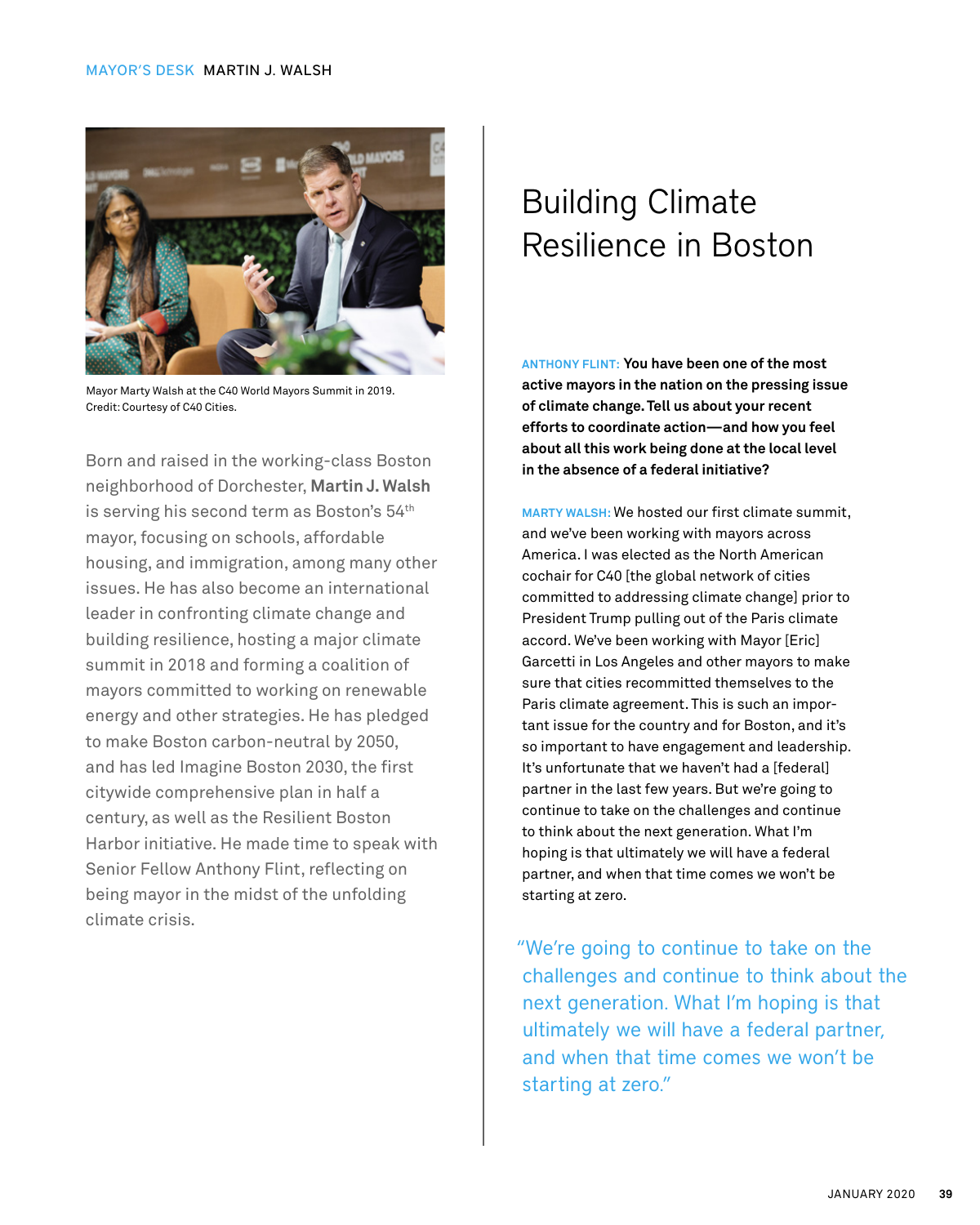

Mayor Marty Walsh at the C40 World Mayors Summit in 2019. Credit: Courtesy of C40 Cities.

Born and raised in the working-class Boston neighborhood of Dorchester, **Martin J. Walsh** is serving his second term as Boston's 54th mayor, focusing on schools, affordable housing, and immigration, among many other issues. He has also become an international leader in confronting climate change and building resilience, hosting a major climate summit in 2018 and forming a coalition of mayors committed to working on renewable energy and other strategies. He has pledged to make Boston carbon-neutral by 2050, and has led Imagine Boston 2030, the first citywide comprehensive plan in half a century, as well as the Resilient Boston Harbor initiative. He made time to speak with Senior Fellow Anthony Flint, reflecting on being mayor in the midst of the unfolding climate crisis.

## Building Climate Resilience in Boston

**ANTHONY FLINT: You have been one of the most active mayors in the nation on the pressing issue of climate change. Tell us about your recent efforts to coordinate action—and how you feel about all this work being done at the local level in the absence of a federal initiative?**

**MARTY WALSH:** We hosted our first climate summit, and we've been working with mayors across America. I was elected as the North American cochair for C40 [the global network of cities committed to addressing climate change] prior to President Trump pulling out of the Paris climate accord. We've been working with Mayor [Eric] Garcetti in Los Angeles and other mayors to make sure that cities recommitted themselves to the Paris climate agreement. This is such an important issue for the country and for Boston, and it's so important to have engagement and leadership. It's unfortunate that we haven't had a [federal] partner in the last few years. But we're going to continue to take on the challenges and continue to think about the next generation. What I'm hoping is that ultimately we will have a federal partner, and when that time comes we won't be starting at zero.

"We're going to continue to take on the challenges and continue to think about the next generation. What I'm hoping is that ultimately we will have a federal partner, and when that time comes we won't be starting at zero."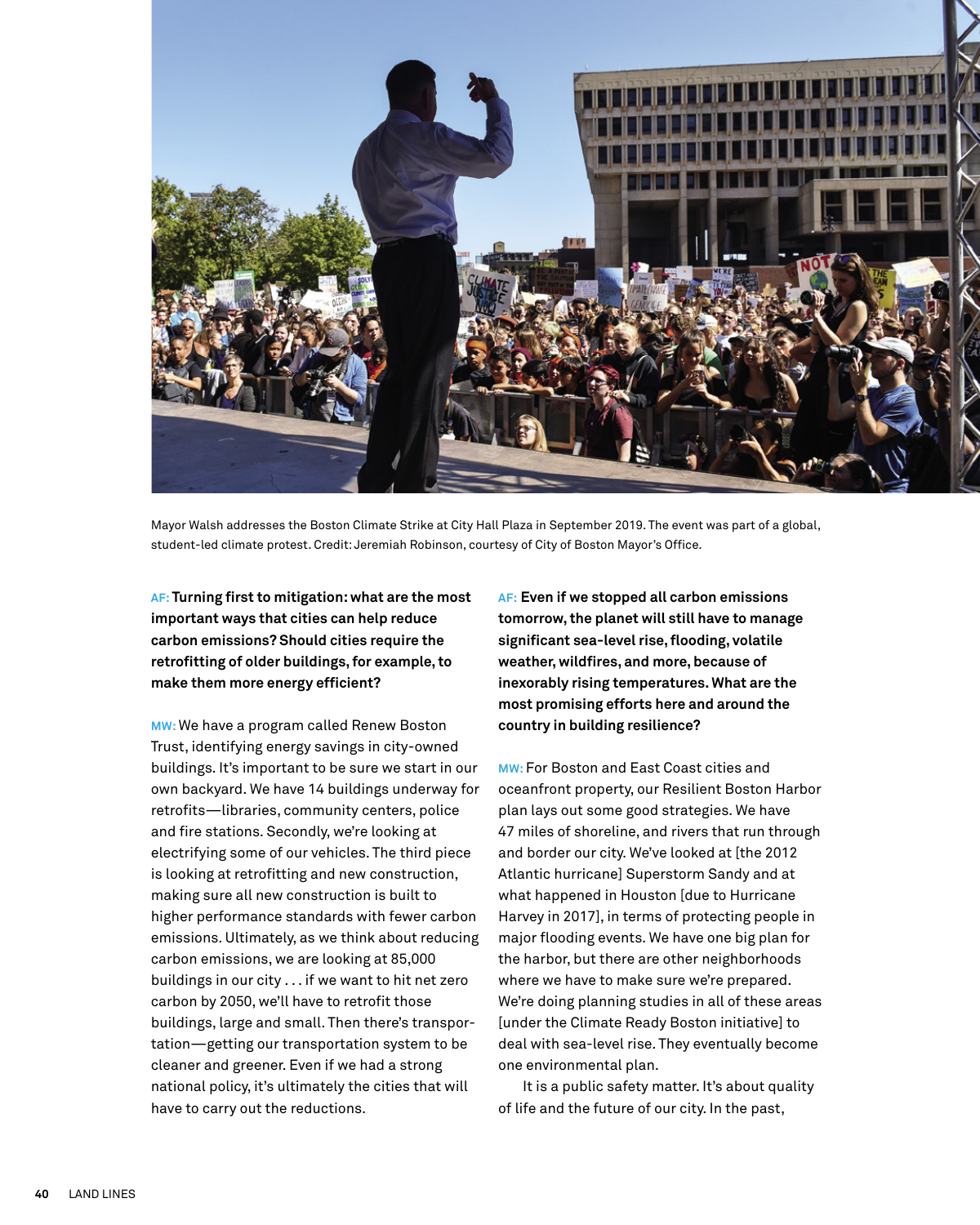

Mayor Walsh addresses the Boston Climate Strike at City Hall Plaza in September 2019. The event was part of a global, student-led climate protest. Credit: Jeremiah Robinson, courtesy of City of Boston Mayor's Office.

**AF: Turning first to mitigation: what are the most important ways that cities can help reduce carbon emissions? Should cities require the retrofitting of older buildings, for example, to make them more energy efficient?**

**MW:** We have a program called Renew Boston Trust, identifying energy savings in city-owned buildings. It's important to be sure we start in our own backyard. We have 14 buildings underway for retrofits—libraries, community centers, police and fire stations. Secondly, we're looking at electrifying some of our vehicles. The third piece is looking at retrofitting and new construction, making sure all new construction is built to higher performance standards with fewer carbon emissions. Ultimately, as we think about reducing carbon emissions, we are looking at 85,000 buildings in our city . . . if we want to hit net zero carbon by 2050, we'll have to retrofit those buildings, large and small. Then there's transportation—getting our transportation system to be cleaner and greener. Even if we had a strong national policy, it's ultimately the cities that will have to carry out the reductions.

**AF: Even if we stopped all carbon emissions tomorrow, the planet will still have to manage significant sea-level rise, flooding, volatile weather, wildfires, and more, because of inexorably rising temperatures. What are the most promising efforts here and around the country in building resilience?**

**MW:** For Boston and East Coast cities and oceanfront property, our Resilient Boston Harbor plan lays out some good strategies. We have 47 miles of shoreline, and rivers that run through and border our city. We've looked at [the 2012 Atlantic hurricane] Superstorm Sandy and at what happened in Houston [due to Hurricane Harvey in 2017], in terms of protecting people in major flooding events. We have one big plan for the harbor, but there are other neighborhoods where we have to make sure we're prepared. We're doing planning studies in all of these areas [under the Climate Ready Boston initiative] to deal with sea-level rise. They eventually become one environmental plan.

It is a public safety matter. It's about quality of life and the future of our city. In the past,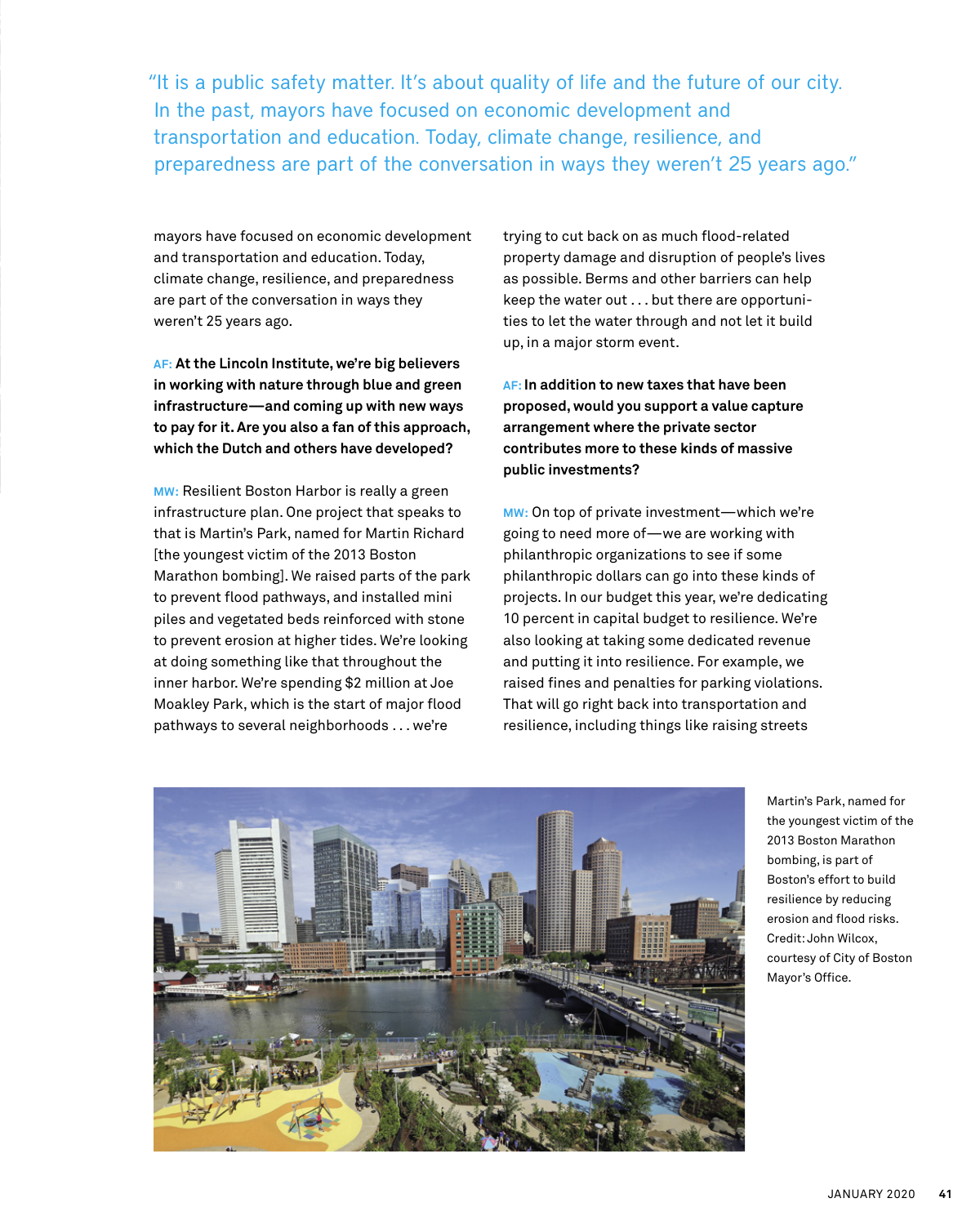"It is a public safety matter. It's about quality of life and the future of our city. In the past, mayors have focused on economic development and transportation and education. Today, climate change, resilience, and preparedness are part of the conversation in ways they weren't 25 years ago."

mayors have focused on economic development and transportation and education. Today, climate change, resilience, and preparedness are part of the conversation in ways they weren't 25 years ago.

**AF: At the Lincoln Institute, we're big believers in working with nature through blue and green infrastructure—and coming up with new ways to pay for it. Are you also a fan of this approach, which the Dutch and others have developed?**

**MW:** Resilient Boston Harbor is really a green infrastructure plan. One project that speaks to that is Martin's Park, named for Martin Richard [the youngest victim of the 2013 Boston Marathon bombing]. We raised parts of the park to prevent flood pathways, and installed mini piles and vegetated beds reinforced with stone to prevent erosion at higher tides. We're looking at doing something like that throughout the inner harbor. We're spending \$2 million at Joe Moakley Park, which is the start of major flood pathways to several neighborhoods . . . we're

trying to cut back on as much flood-related property damage and disruption of people's lives as possible. Berms and other barriers can help keep the water out . . . but there are opportunities to let the water through and not let it build up, in a major storm event.

**AF: In addition to new taxes that have been proposed, would you support a value capture arrangement where the private sector contributes more to these kinds of massive public investments?** 

**MW:** On top of private investment—which we're going to need more of—we are working with philanthropic organizations to see if some philanthropic dollars can go into these kinds of projects. In our budget this year, we're dedicating 10 percent in capital budget to resilience. We're also looking at taking some dedicated revenue and putting it into resilience. For example, we raised fines and penalties for parking violations. That will go right back into transportation and resilience, including things like raising streets



Martin's Park, named for the youngest victim of the 2013 Boston Marathon bombing, is part of Boston's effort to build resilience by reducing erosion and flood risks. Credit: John Wilcox, courtesy of City of Boston Mayor's Office.